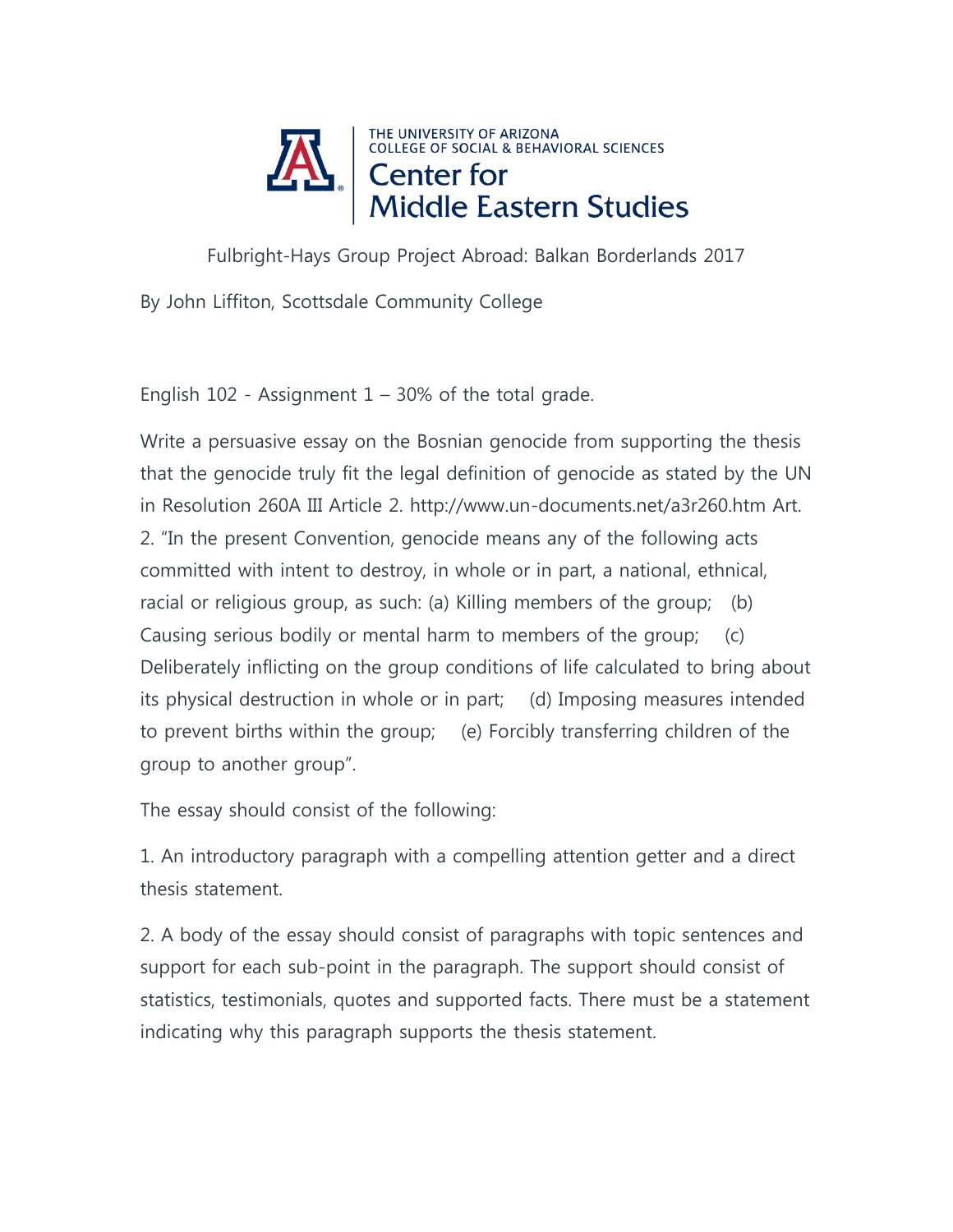

Fulbright-Hays Group Project Abroad: Balkan Borderlands 2017

By John Liffiton, Scottsdale Community College

English  $102$  - Assignment  $1 - 30\%$  of the total grade.

Write a persuasive essay on the Bosnian genocide from supporting the thesis that the genocide truly fit the legal definition of genocide as stated by the UN in Resolution 260A III Article 2. http://www.un-documents.net/a3r260.htm Art. 2. "In the present Convention, genocide means any of the following acts committed with intent to destroy, in whole or in part, a national, ethnical, racial or religious group, as such: (a) Killing members of the group; (b) Causing serious bodily or mental harm to members of the group; (c) Deliberately inflicting on the group conditions of life calculated to bring about its physical destruction in whole or in part; (d) Imposing measures intended to prevent births within the group; (e) Forcibly transferring children of the group to another group".

The essay should consist of the following:

1. An introductory paragraph with a compelling attention getter and a direct thesis statement.

2. A body of the essay should consist of paragraphs with topic sentences and support for each sub-point in the paragraph. The support should consist of statistics, testimonials, quotes and supported facts. There must be a statement indicating why this paragraph supports the thesis statement.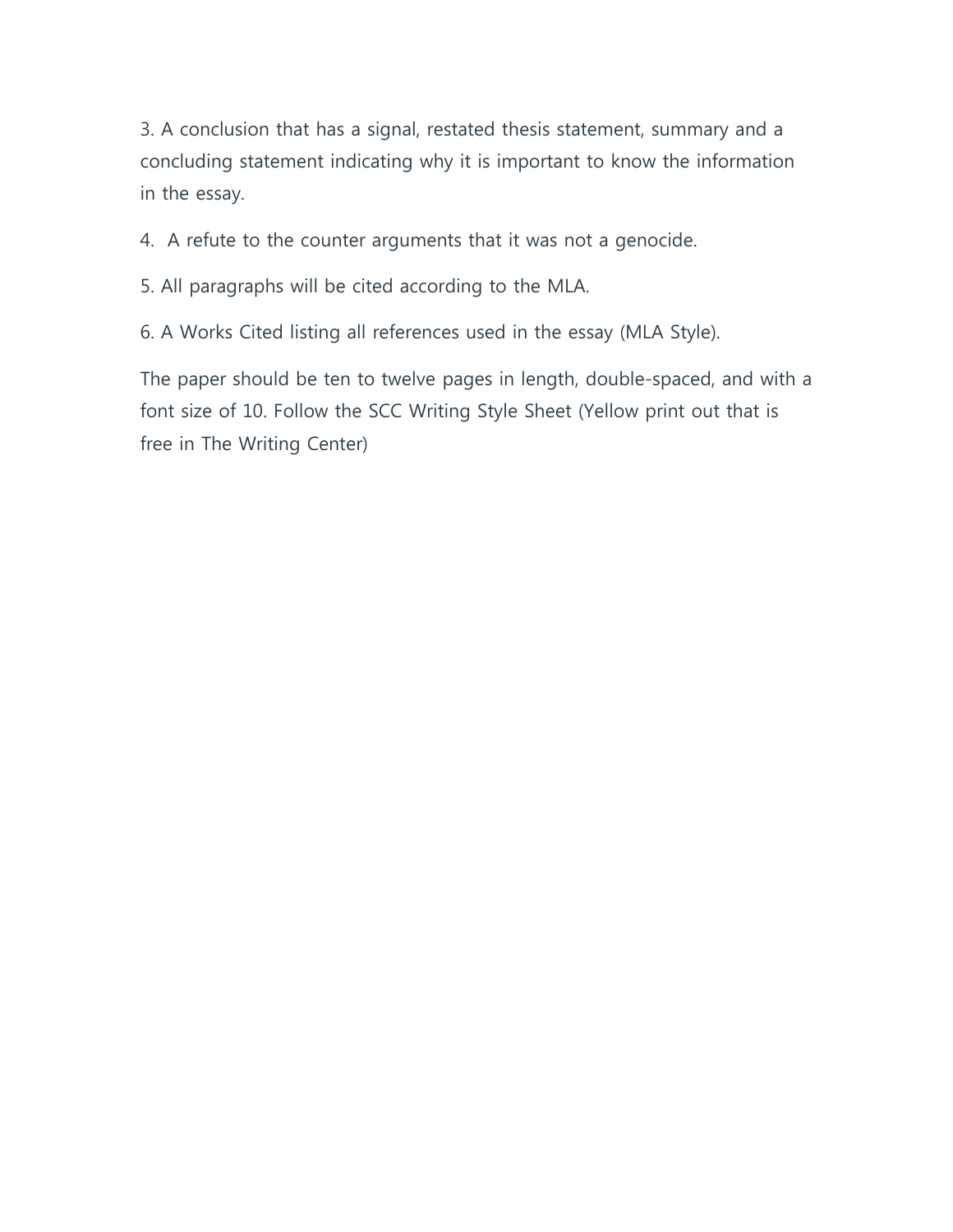3. A conclusion that has a signal, restated thesis statement, summary and a concluding statement indicating why it is important to know the information in the essay.

4. A refute to the counter arguments that it was not a genocide.

5. All paragraphs will be cited according to the MLA.

6. A Works Cited listing all references used in the essay (MLA Style).

The paper should be ten to twelve pages in length, double-spaced, and with a font size of 10. Follow the SCC Writing Style Sheet (Yellow print out that is free in The Writing Center)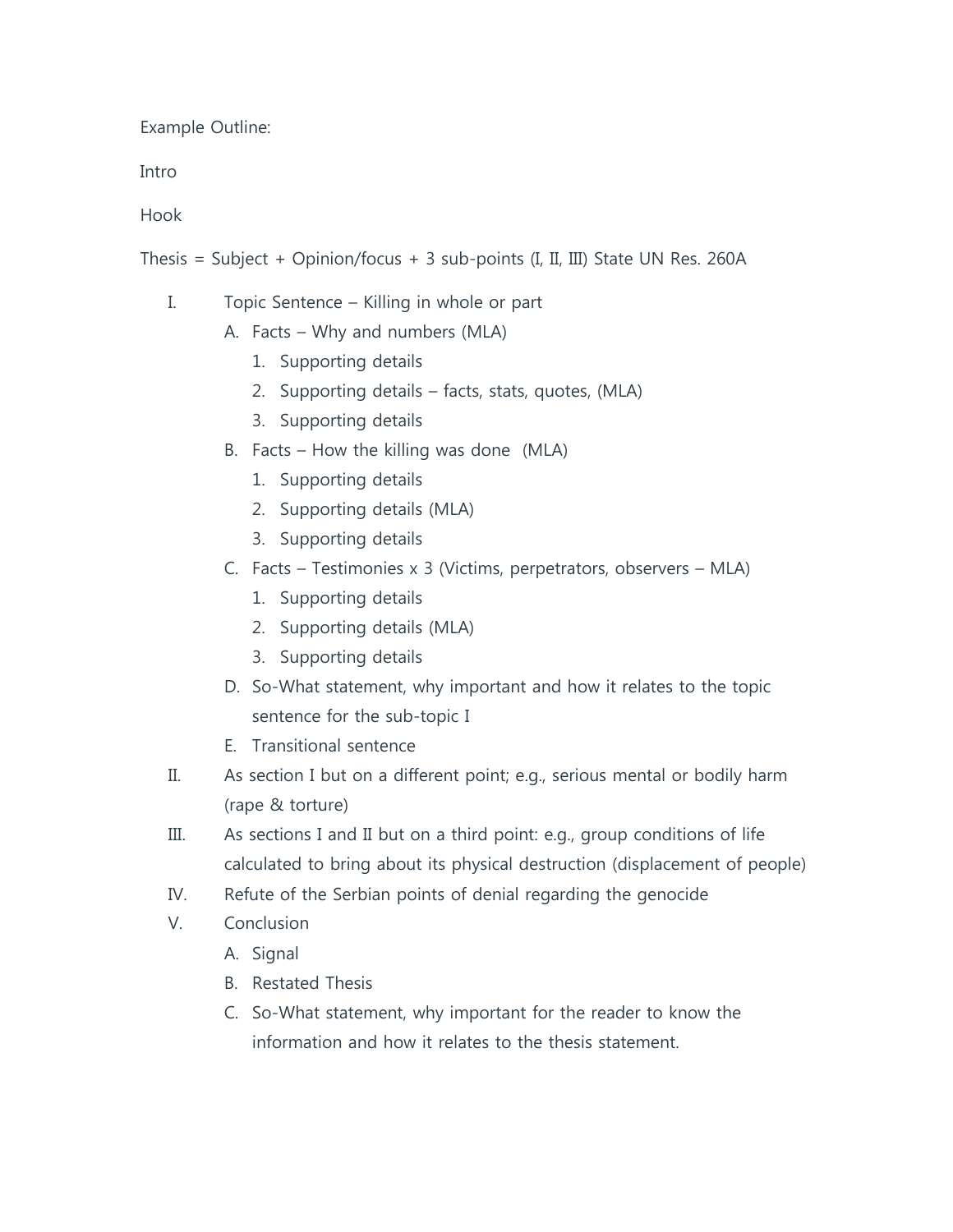Example Outline:

Intro

Hook

Thesis = Subject + Opinion/focus + 3 sub-points  $(I, II, III)$  State UN Res. 260A

- I. Topic Sentence Killing in whole or part
	- A. Facts Why and numbers (MLA)
		- 1. Supporting details
		- 2. Supporting details facts, stats, quotes, (MLA)
		- 3. Supporting details
	- B. Facts How the killing was done (MLA)
		- 1. Supporting details
		- 2. Supporting details (MLA)
		- 3. Supporting details
	- C. Facts Testimonies x 3 (Victims, perpetrators, observers MLA)
		- 1. Supporting details
		- 2. Supporting details (MLA)
		- 3. Supporting details
	- D. So-What statement, why important and how it relates to the topic sentence for the sub-topic I
	- E. Transitional sentence
- II. As section I but on a different point; e.g., serious mental or bodily harm (rape & torture)
- III. As sections I and II but on a third point: e.g., group conditions of life calculated to bring about its physical destruction (displacement of people)
- IV. Refute of the Serbian points of denial regarding the genocide
- V. Conclusion
	- A. Signal
	- B. Restated Thesis
	- C. So-What statement, why important for the reader to know the information and how it relates to the thesis statement.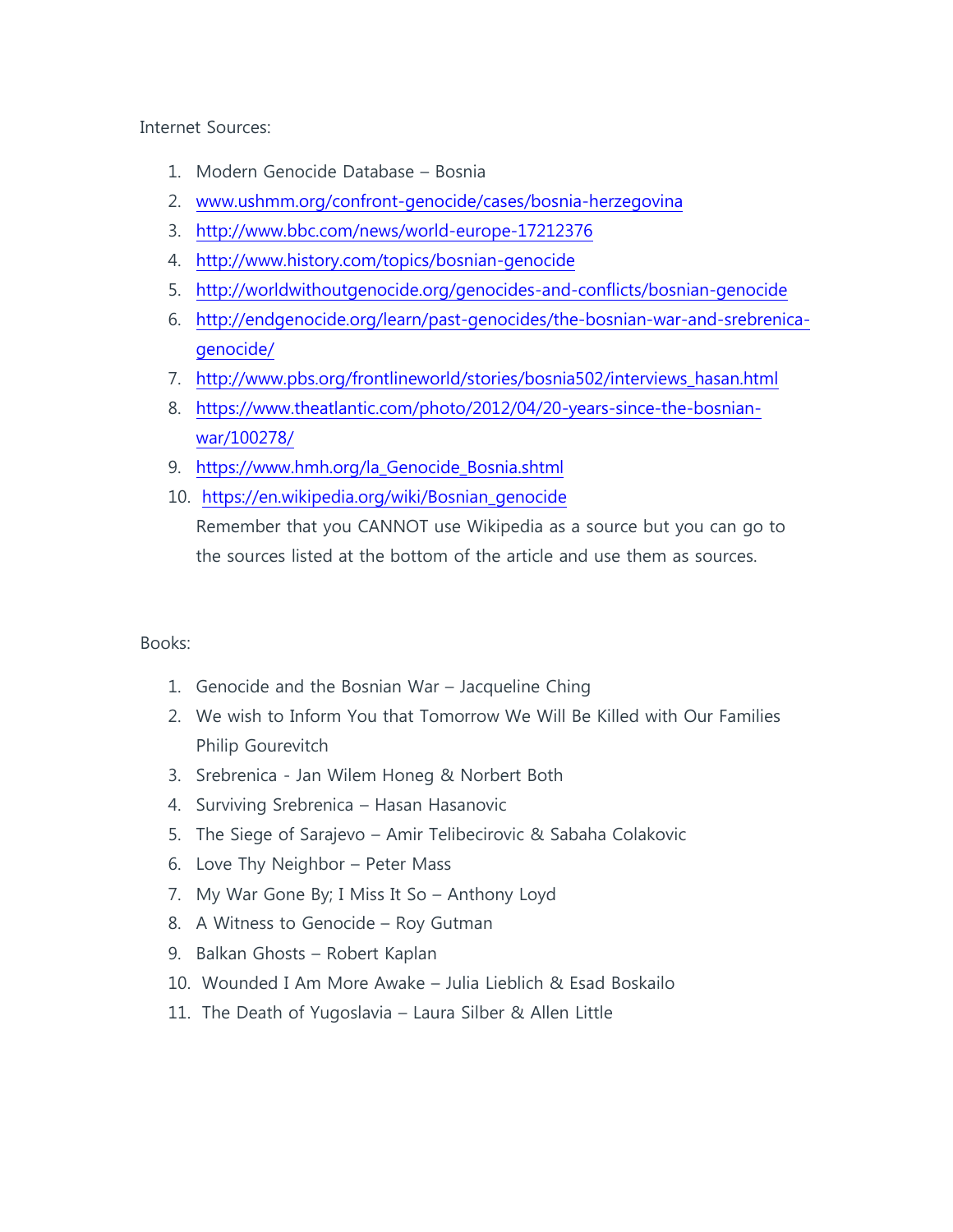Internet Sources:

- 1. Modern Genocide Database Bosnia
- 2. [www.ushmm.org/confront-genocide/cases/bosnia-herzegovina](http://www.ushmm.org/confront-genocide/cases/bosnia-herzegovina)
- 3. <http://www.bbc.com/news/world-europe-17212376>
- 4. <http://www.history.com/topics/bosnian-genocide>
- 5. <http://worldwithoutgenocide.org/genocides-and-conflicts/bosnian-genocide>
- 6. [http://endgenocide.org/learn/past-genocides/the-bosnian-war-and-srebrenica](http://endgenocide.org/learn/past-genocides/the-bosnian-war-and-srebrenica-genocide/)[genocide/](http://endgenocide.org/learn/past-genocides/the-bosnian-war-and-srebrenica-genocide/)
- 7. [http://www.pbs.org/frontlineworld/stories/bosnia502/interviews\\_hasan.html](http://www.pbs.org/frontlineworld/stories/bosnia502/interviews_hasan.html)
- 8. [https://www.theatlantic.com/photo/2012/04/20-years-since-the-bosnian](https://www.theatlantic.com/photo/2012/04/20-years-since-the-bosnian-war/100278/)[war/100278/](https://www.theatlantic.com/photo/2012/04/20-years-since-the-bosnian-war/100278/)
- 9. [https://www.hmh.org/la\\_Genocide\\_Bosnia.shtml](https://www.hmh.org/la_Genocide_Bosnia.shtml)
- 10. [https://en.wikipedia.org/wiki/Bosnian\\_genocide](https://en.wikipedia.org/wiki/Bosnian_genocide) Remember that you CANNOT use Wikipedia as a source but you can go to the sources listed at the bottom of the article and use them as sources.

Books:

- 1. Genocide and the Bosnian War Jacqueline Ching
- 2. We wish to Inform You that Tomorrow We Will Be Killed with Our Families Philip Gourevitch
- 3. Srebrenica Jan Wilem Honeg & Norbert Both
- 4. Surviving Srebrenica Hasan Hasanovic
- 5. The Siege of Sarajevo Amir Telibecirovic & Sabaha Colakovic
- 6. Love Thy Neighbor Peter Mass
- 7. My War Gone By; I Miss It So Anthony Loyd
- 8. A Witness to Genocide Roy Gutman
- 9. Balkan Ghosts Robert Kaplan
- 10. Wounded I Am More Awake Julia Lieblich & Esad Boskailo
- 11. The Death of Yugoslavia Laura Silber & Allen Little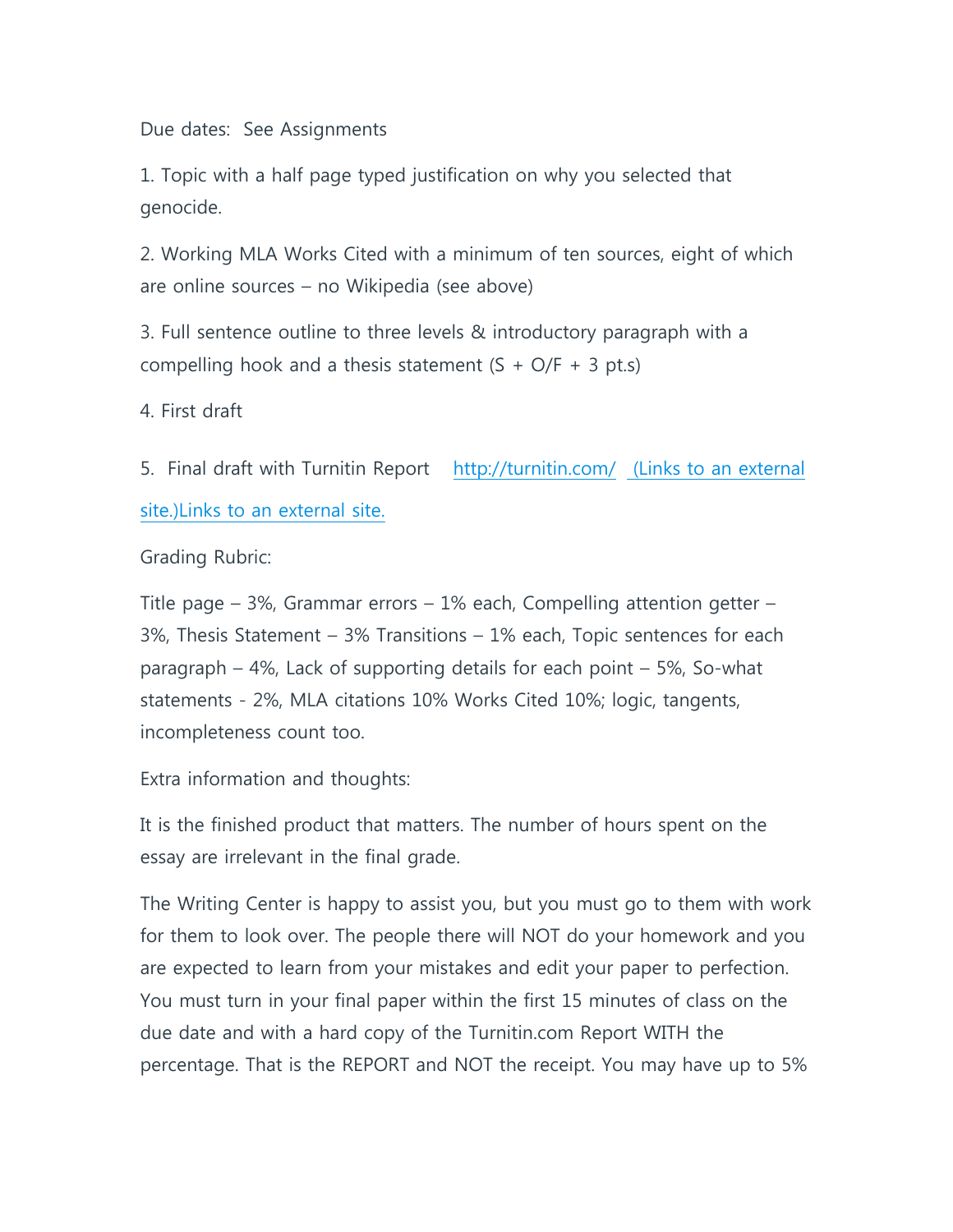Due dates: See Assignments

1. Topic with a half page typed justification on why you selected that genocide.

2. Working MLA Works Cited with a minimum of ten sources, eight of which are online sources – no Wikipedia (see above)

3. Full sentence outline to three levels & introductory paragraph with a compelling hook and a thesis statement  $(S + O/F + 3$  pt.s)

4. First draft

5. Final draft with Turnitin Report <http://turnitin.com/> (Links to an external [site.\)Links](http://turnitin.com/) to an external site.

Grading Rubric:

Title page – 3%, Grammar errors – 1% each, Compelling attention getter – 3%, Thesis Statement – 3% Transitions – 1% each, Topic sentences for each paragraph – 4%, Lack of supporting details for each point – 5%, So-what statements - 2%, MLA citations 10% Works Cited 10%; logic, tangents, incompleteness count too.

Extra information and thoughts:

It is the finished product that matters. The number of hours spent on the essay are irrelevant in the final grade.

The Writing Center is happy to assist you, but you must go to them with work for them to look over. The people there will NOT do your homework and you are expected to learn from your mistakes and edit your paper to perfection. You must turn in your final paper within the first 15 minutes of class on the due date and with a hard copy of the Turnitin.com Report WITH the percentage. That is the REPORT and NOT the receipt. You may have up to 5%